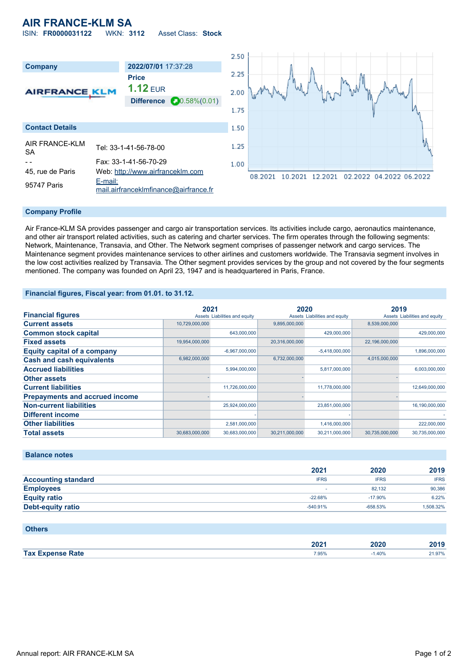## **AIR FRANCE-KLM SA**

ISIN: **FR0000031122** WKN: **3112** Asset Class: **Stock**



#### **Company Profile**

Air France-KLM SA provides passenger and cargo air transportation services. Its activities include cargo, aeronautics maintenance, and other air transport related activities, such as catering and charter services. The firm operates through the following segments: Network, Maintenance, Transavia, and Other. The Network segment comprises of passenger network and cargo services. The Maintenance segment provides maintenance services to other airlines and customers worldwide. The Transavia segment involves in the low cost activities realized by Transavia. The Other segment provides services by the group and not covered by the four segments mentioned. The company was founded on April 23, 1947 and is headquartered in Paris, France.

#### **Financial figures, Fiscal year: from 01.01. to 31.12.**

|                                       | 2021           |                               | 2020           |                               | 2019           |                               |
|---------------------------------------|----------------|-------------------------------|----------------|-------------------------------|----------------|-------------------------------|
| <b>Financial figures</b>              |                | Assets Liabilities and equity |                | Assets Liabilities and equity |                | Assets Liabilities and equity |
| <b>Current assets</b>                 | 10,729,000,000 |                               | 9,895,000,000  |                               | 8,539,000,000  |                               |
| <b>Common stock capital</b>           |                | 643,000,000                   |                | 429,000,000                   |                | 429,000,000                   |
| <b>Fixed assets</b>                   | 19,954,000,000 |                               | 20,316,000,000 |                               | 22,196,000,000 |                               |
| <b>Equity capital of a company</b>    |                | $-6,967,000,000$              |                | $-5,418,000,000$              |                | 1,896,000,000                 |
| <b>Cash and cash equivalents</b>      | 6,982,000,000  |                               | 6,732,000,000  |                               | 4,015,000,000  |                               |
| <b>Accrued liabilities</b>            |                | 5,994,000,000                 |                | 5,817,000,000                 |                | 6,003,000,000                 |
| <b>Other assets</b>                   |                |                               |                |                               |                |                               |
| <b>Current liabilities</b>            |                | 11,726,000,000                |                | 11,778,000,000                |                | 12,649,000,000                |
| <b>Prepayments and accrued income</b> |                |                               |                |                               |                |                               |
| <b>Non-current liabilities</b>        |                | 25,924,000,000                |                | 23,851,000,000                |                | 16,190,000,000                |
| <b>Different income</b>               |                |                               |                |                               |                |                               |
| <b>Other liabilities</b>              |                | 2,581,000,000                 |                | 1,416,000,000                 |                | 222,000,000                   |
| <b>Total assets</b>                   | 30,683,000,000 | 30,683,000,000                | 30,211,000,000 | 30,211,000,000                | 30,735,000,000 | 30,735,000,000                |

#### **Balance notes**

|                            | 2021        | 2020        | 2019        |
|----------------------------|-------------|-------------|-------------|
| <b>Accounting standard</b> | <b>IFRS</b> | <b>IFRS</b> | <b>IFRS</b> |
| <b>Employees</b>           |             | 82.132      | 90.386      |
| <b>Equity ratio</b>        | $-22.68%$   | $-17.90\%$  | $6.22\%$    |
| Debt-equity ratio          | $-540.91%$  | $-658.53%$  | 1,508.32%   |

#### **Others**

|               | 200 <sub>2</sub><br>ZUZ I | 2020 | $\sim$ 4 $\sim$ |
|---------------|---------------------------|------|-----------------|
| Tax L<br>रate | 7.95%                     | 40%  | 21.97%          |